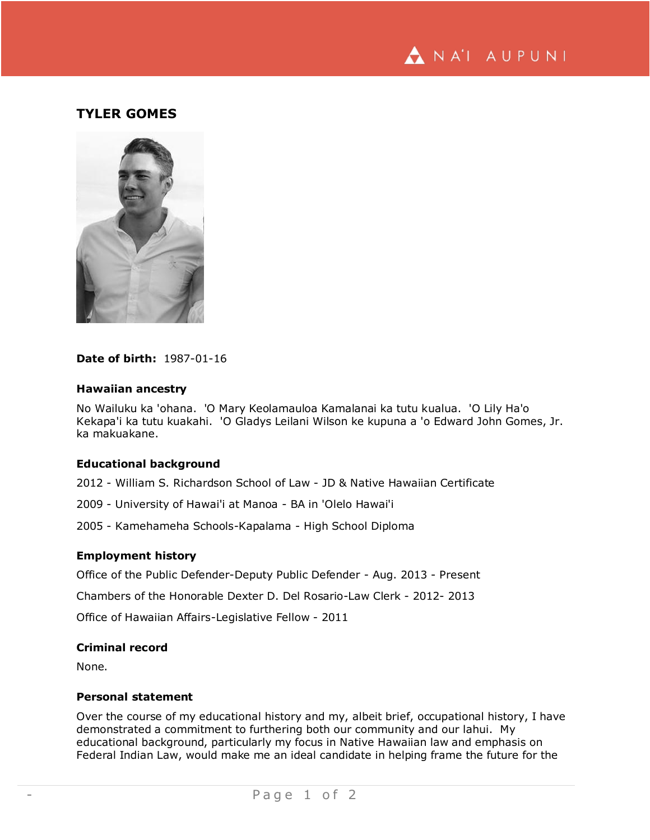

# **TYLER GOMES**



#### **Date of birth:** 1987-01-16

### **Hawaiian ancestry**

No Wailuku ka 'ohana. 'O Mary Keolamauloa Kamalanai ka tutu kualua. 'O Lily Ha'o Kekapa'i ka tutu kuakahi. 'O Gladys Leilani Wilson ke kupuna a 'o Edward John Gomes, Jr. ka makuakane.

### **Educational background**

2012 - William S. Richardson School of Law - JD & Native Hawaiian Certificate

- 2009 University of Hawai'i at Manoa BA in 'Olelo Hawai'i
- 2005 Kamehameha Schools-Kapalama High School Diploma

# **Employment history**

Office of the Public Defender-Deputy Public Defender - Aug. 2013 - Present

Chambers of the Honorable Dexter D. Del Rosario-Law Clerk - 2012- 2013

Office of Hawaiian Affairs-Legislative Fellow - 2011

### **Criminal record**

None.

# **Personal statement**

Over the course of my educational history and my, albeit brief, occupational history, I have demonstrated a commitment to furthering both our community and our lahui. My educational background, particularly my focus in Native Hawaiian law and emphasis on Federal Indian Law, would make me an ideal candidate in helping frame the future for the